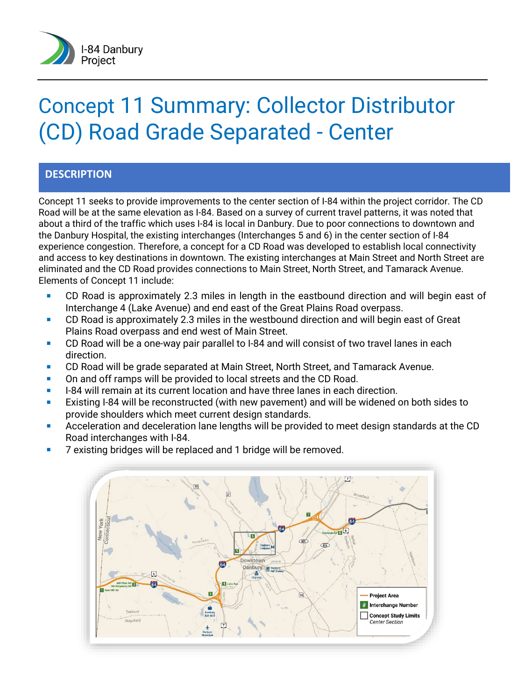

# Concept 11 Summary: Collector Distributor (CD) Road Grade Separated - Center

#### **DESCRIPTION**

Concept 11 seeks to provide improvements to the center section of I-84 within the project corridor. The CD Road will be at the same elevation as I-84. Based on a survey of current travel patterns, it was noted that about a third of the traffic which uses I-84 is local in Danbury. Due to poor connections to downtown and the Danbury Hospital, the existing interchanges (Interchanges 5 and 6) in the center section of I-84 experience congestion. Therefore, a concept for a CD Road was developed to establish local connectivity and access to key destinations in downtown. The existing interchanges at Main Street and North Street are eliminated and the CD Road provides connections to Main Street, North Street, and Tamarack Avenue. Elements of Concept 11 include:

- CD Road is approximately 2.3 miles in length in the eastbound direction and will begin east of Interchange 4 (Lake Avenue) and end east of the Great Plains Road overpass.
- CD Road is approximately 2.3 miles in the westbound direction and will begin east of Great Plains Road overpass and end west of Main Street.
- CD Road will be a one-way pair parallel to I-84 and will consist of two travel lanes in each direction.
- **CD Road will be grade separated at Main Street, North Street, and Tamarack Avenue.**
- On and off ramps will be provided to local streets and the CD Road.
- I-84 will remain at its current location and have three lanes in each direction.
- Existing I-84 will be reconstructed (with new pavement) and will be widened on both sides to provide shoulders which meet current design standards.
- Acceleration and deceleration lane lengths will be provided to meet design standards at the CD Road interchanges with I-84.
- 7 existing bridges will be replaced and 1 bridge will be removed.